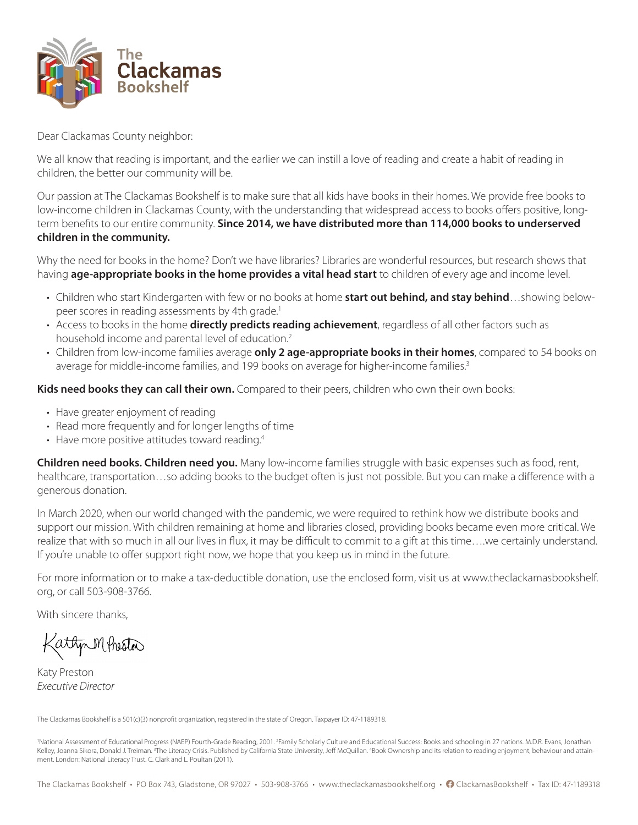

Dear Clackamas County neighbor:

We all know that reading is important, and the earlier we can instill a love of reading and create a habit of reading in children, the better our community will be.

Our passion at The Clackamas Bookshelf is to make sure that all kids have books in their homes. We provide free books to low-income children in Clackamas County, with the understanding that widespread access to books offers positive, longterm benefits to our entire community. **Since 2014, we have distributed more than 114,000 books to underserved children in the community.**

Why the need for books in the home? Don't we have libraries? Libraries are wonderful resources, but research shows that having **age-appropriate books in the home provides a vital head start** to children of every age and income level.

- Children who start Kindergarten with few or no books at home **start out behind, and stay behind**…showing belowpeer scores in reading assessments by 4th grade.<sup>1</sup>
- Access to books in the home **directly predicts reading achievement**, regardless of all other factors such as household income and parental level of education.<sup>2</sup>
- Children from low-income families average **only 2 age-appropriate books in their homes**, compared to 54 books on average for middle-income families, and 199 books on average for higher-income families.<sup>3</sup>

**Kids need books they can call their own.** Compared to their peers, children who own their own books:

- Have greater enjoyment of reading
- Read more frequently and for longer lengths of time
- Have more positive attitudes toward reading.<sup>4</sup>

**Children need books. Children need you.** Many low-income families struggle with basic expenses such as food, rent, healthcare, transportation…so adding books to the budget often is just not possible. But you can make a difference with a generous donation.

In March 2020, when our world changed with the pandemic, we were required to rethink how we distribute books and support our mission. With children remaining at home and libraries closed, providing books became even more critical. We realize that with so much in all our lives in flux, it may be difficult to commit to a gift at this time….we certainly understand. If you're unable to offer support right now, we hope that you keep us in mind in the future.

For more information or to make a tax-deductible donation, use the enclosed form, visit us at www.theclackamasbookshelf. org, or call 503-908-3766.

With sincere thanks,

Mehistos

Katy Preston *Executive Director*

The Clackamas Bookshelf is a 501(c)(3) nonprofit organization, registered in the state of Oregon. Taxpayer ID: 47-1189318.

'National Assessment of Educational Progress (NAEP) Fourth-Grade Reading, 2001. <sup>2</sup>Family Scholarly Culture and Educational Success: Books and schooling in 27 nations. M.D.R. Evans, Jonathan Kelley, Joanna Sikora, Donald J. Treiman. <sup>3</sup>The Literacy Crisis. Published by California State University, Jeff McQuillan. "Book Ownership and its relation to reading enjoyment, behaviour and attainment. London: National Literacy Trust. C. Clark and L. Poultan (2011).

The Clackamas Bookshelf • PO Box 743, Gladstone, OR 97027 • 503-908-3766 • www.theclackamasbookshelf.org • ? ClackamasBookshelf • Tax ID: 47-1189318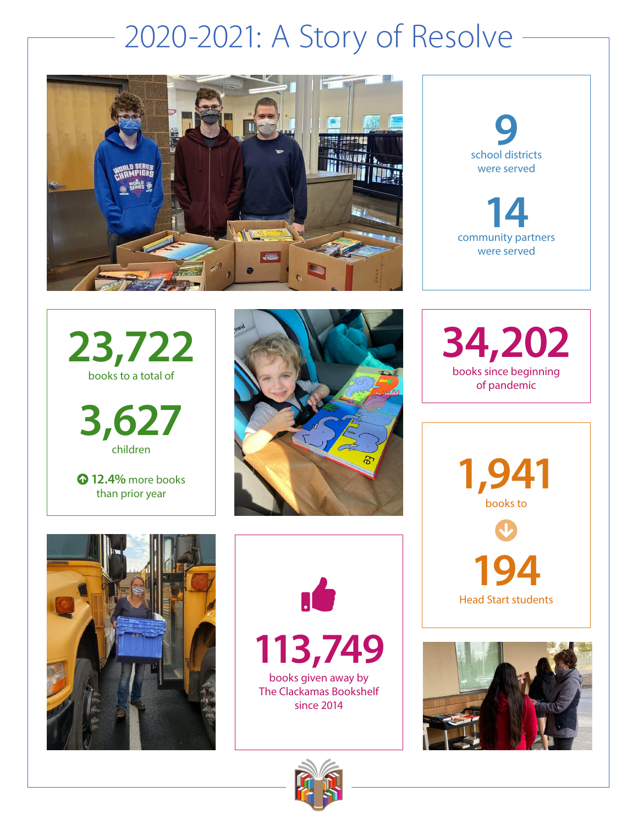## 2020-2021: A Story of Resolve





**23,722**  books to a total of

**3,627** children

 **12.4%** more books than prior year







**113,749** books given away by

The Clackamas Bookshelf since 2014



**34,202** books since beginning of pandemic

> **1,941**  books to  $\bigcirc$ **194** Head Start students